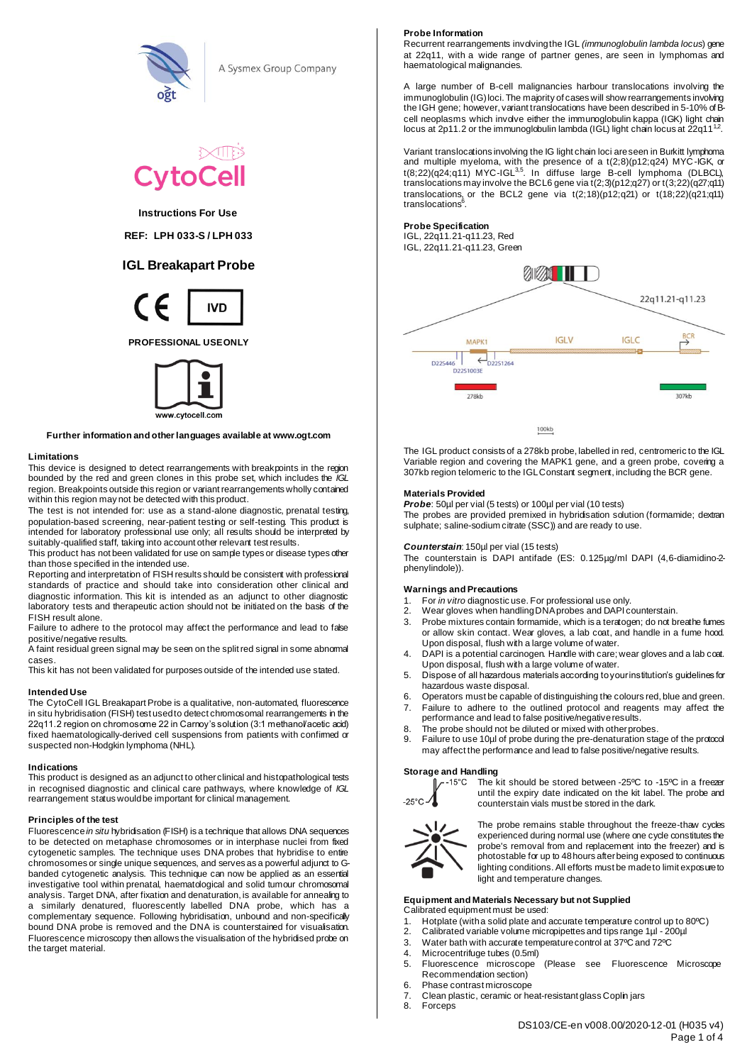

A Sysmex Group Company



# **Instructions For Use**

**REF: LPH 033-S / LPH 033** 

# **IGL Breakapart Probe**



**PROFESSIONAL USE ONLY**



#### **Further information and other languages available at www.ogt.com**

#### **Limitations**

This device is designed to detect rearrangements with breakpoints in the region bounded by the red and green clones in this probe set, which includes the *IGL* region. Breakpoints outside this region or variant rearrangements wholly contained within this region may not be detected with this product.

The test is not intended for: use as a stand-alone diagnostic, prenatal testing, population-based screening, near-patient testing or self-testing. This product is intended for laboratory professional use only; all results should be interpreted by suitably-qualified staff, taking into account other relevant test results.

This product has not been validated for use on sample types or disease types other than those specified in the intended use.

Reporting and interpretation of FISH results should be consistent with professional standards of practice and should take into consideration other clinical and diagnostic information. This kit is intended as an adjunct to other diagnostic laboratory tests and therapeutic action should not be initiated on the basis of the FISH result alone.

Failure to adhere to the protocol may affect the performance and lead to false positive/negative results.

A faint residual green signal may be seen on the split red signal in some abnormal cases.

This kit has not been validated for purposes outside of the intended use stated.

# **Intended Use**

The CytoCell IGL Breakapart Probe is a qualitative, non-automated, fluorescence in situ hybridisation (FISH) test used to detect chromosomal rearrangements in the 22q11.2 region on chromosome 22 in Carnoy's solution (3:1 methanol/acetic acid) fixed haematologically-derived cell suspensions from patients with confirmed or suspected non-Hodgkin lymphoma (NHL).

#### **Indications**

This product is designed as an adjunct to other clinical and histopathological tests in recognised diagnostic and clinical care pathways, where knowledge of *IGL* rearrangement status would be important for clinical management.

#### **Principles of the test**

Fluorescence *in situ* hybridisation (FISH) is a technique that allows DNA sequences to be detected on metaphase chromosomes or in interphase nuclei from fixed cytogenetic samples. The technique uses DNA probes that hybridise to entire chromosomes or single unique sequences, and serves as a powerful adjunct to Gbanded cytogenetic analysis. This technique can now be applied as an essential investigative tool within prenatal, haematological and solid tumour chromosomal analysis. Target DNA, after fixation and denaturation, is available for annealing to a similarly denatured, fluorescently labelled DNA probe, which has a complementary sequence. Following hybridisation, unbound and non-specifically bound DNA probe is removed and the DNA is counterstained for visualisation. Fluorescence microscopy then allows the visualisation of the hybridised probe on the target material.

#### **Probe Information**

Recurrent rearrangements involving the IGL *(immunoglobulin lambda locus*) gene at 22q11, with a wide range of partner genes, are seen in lymphomas and haematological malignancies.

A large number of B-cell malignancies harbour translocations involving the immunoglobulin (IG) loci. The majority of cases will show rearrangements involving the IGH gene; however, variant translocations have been described in 5-10% of Bcell neoplasms which involve either the immunoglobulin kappa (IGK) light chain locus at 2p11.2 or the immunoglobulin lambda (IGL) light chain locus at 22q11<sup>12</sup>.

Variant translocations involving the IG light chain loci are seen in Burkitt lymphoma and multiple myeloma, with the presence of a t(2;8)(p12;q24) MYC-IGK, or t(8;22)(q24;q11) MYC-IGL $^{35}$ . In diffuse large B-cell lymphoma (DLBCL), translocations may involve the BCL6 gene via t(2;3)(p12;q27) or t(3;22)(q27;q11) translocations, or the BCL2 gene via  $t(2;18)(p12;q21)$  or  $t(18;22)(q21;q11)$ translocations<sup>6</sup>.

## **Probe Specification**

IGL, 22q11.21-q11.23, Red IGL, 22q11.21-q11.23, Green



100kb

The IGL product consists of a 278kb probe, labelled in red, centromeric to the IGL Variable region and covering the MAPK1 gene, and a green probe, covering a 307kb region telomeric to the IGL Constant segment, including the BCR gene.

## **Materials Provided**

*Probe*: 50µl per vial (5 tests) or 100µl per vial (10 tests)

The probes are provided premixed in hybridisation solution (formamide; dextran sulphate; saline-sodium citrate (SSC)) and are ready to use.

#### *Counterstain*: 150µl per vial (15 tests)

The counterstain is DAPI antifade (ES: 0.125µg/ml DAPI (4,6-diamidino-2phenylindole)).

## **Warnings and Precautions**

- 1. For *in vitro* diagnostic use. For professional use only.
- 2. Wear gloves when handling DNA probes and DAPI counterstain.
- 3. Probe mixtures contain formamide, which is a teratogen; do not breathe fumes or allow skin contact. Wear gloves, a lab coat, and handle in a fume hood. Upon disposal, flush with a large volume of water.
- 4. DAPI is a potential carcinogen. Handle with care; wear gloves and a lab coat. Upon disposal, flush with a large volume of water.
- 5. Dispose of all hazardous materials according to your institution's guidelines for hazardous waste disposal.
- 6. Operators must be capable of distinguishing the colours red, blue and green.
- 7. Failure to adhere to the outlined protocol and reagents may affect the performance and lead to false positive/negative results.
- 8. The probe should not be diluted or mixed with other probes.<br>9. Eailure to use 10ul of probe during the pre-denaturation sta
- Failure to use 10µl of probe during the pre-denaturation stage of the protocol may affect the performance and lead to false positive/negative results.

#### **Storage and Handling**



The kit should be stored between -25ºC to -15ºC in a freezer until the expiry date indicated on the kit label. The probe and counterstain vials must be stored in the dark.



The probe remains stable throughout the freeze-thaw cycles experienced during normal use (where one cycle constitutes the probe's removal from and replacement into the freezer) and is photostable for up to 48 hours after being exposed to continuous lighting conditions. All efforts must be made to limit exposure to light and temperature changes.

#### **Equipment and Materials Necessary but not Supplied** Calibrated equipment must be used:

- 1. Hotplate (with a solid plate and accurate temperature control up to 80°C)<br>2. Calibrated variable volume microninettes and tips range 1ul 200ul
- 2. Calibrated variable volume micropipettes and tips range 1µl 200µl<br>3. Water bath with accurate temperature control at 37°C and 72°C
- 3. Water bath with accurate temperature control at 37ºC and 72ºC
- 4. Microcentrifuge tubes (0.5ml)<br>5. Fluorescence microscope
- 5. Fluorescence microscope (Please see Fluorescence Microscope Recommendation section)
- 6. Phase contrast microscope
- 7. Clean plastic, ceramic or heat-resistant glass Coplin jars<br>8. Eorceps
- **Forceps**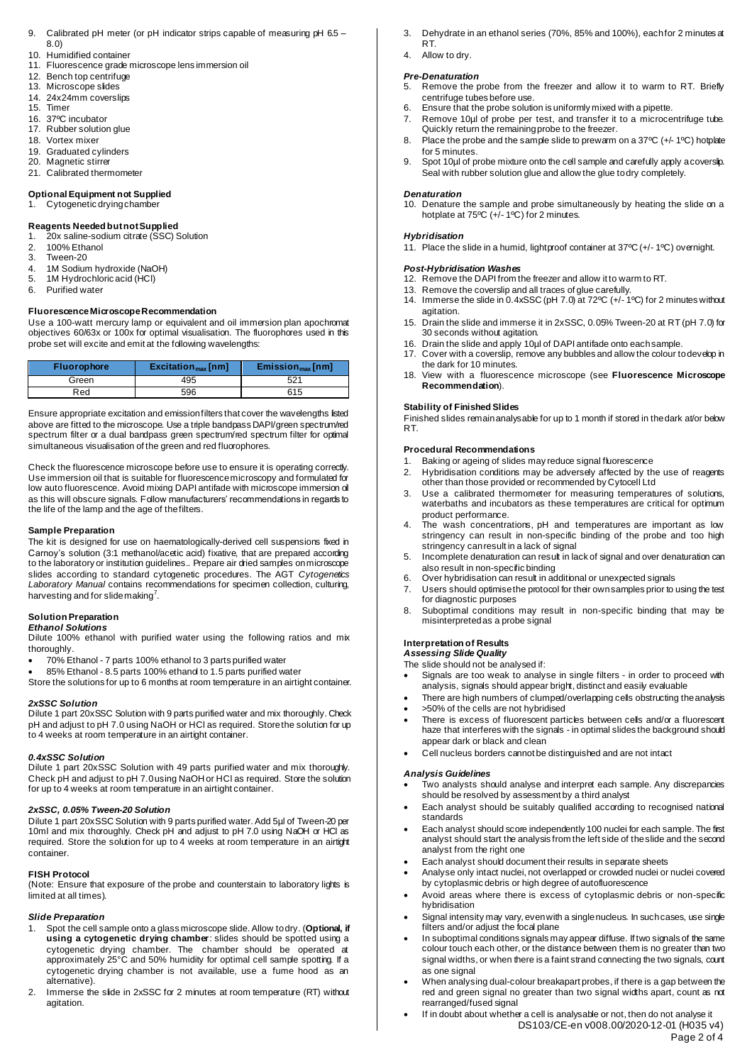- 9. Calibrated pH meter (or pH indicator strips capable of measuring pH 6.5 8.0)
- 10. Humidified container
- 11. Fluorescence grade microscope lens immersion oil
- 12. Bench top centrifuge
- 13. Microscope slides
- 14. 24x24mm coverslips<br>15. Timer
- 15. Timer<br>16. 37ºC i
- 37°C incubator
- 17. Rubber solution glue
- 18. Vortex mixer<br>19. Graduated cv
- Graduated cylinders 20. Magnetic stirrer
- 21. Calibrated thermometer

# **Optional Equipment not Supplied**

1. Cytogenetic drying chamber

## **Reagents Needed but not Supplied**

1. 20x saline-sodium citrate (SSC) Solution

- 2. 100% Ethanol
- 3. Tween-20<br>4 1M Sodiun
- 4. 1M Sodium hydroxide (NaOH)<br>5. 1M Hydrochloric acid (HCI) 1M Hydrochloric acid (HCl)
- 6. Purified water

# **Fluorescence Microscope Recommendation**

Use a 100-watt mercury lamp or equivalent and oil immersion plan apochromat objectives 60/63x or 100x for optimal visualisation. The fluorophores used in this probe set will excite and emit at the following wavelengths:

| <b>Fluorophore</b> | Excitation <sub>max</sub> [nm] | $Emission_{max}[nm]$ |
|--------------------|--------------------------------|----------------------|
| Green              | 495                            | 52 <sup>1</sup>      |
| Red                | 596                            | 615                  |

Ensure appropriate excitation and emission filters that cover the wavelengths listed above are fitted to the microscope. Use a triple bandpass DAPI/green spectrum/red spectrum filter or a dual bandpass green spectrum/red spectrum filter for optimal simultaneous visualisation of the green and red fluorophores.

Check the fluorescence microscope before use to ensure it is operating correctly. Use immersion oil that is suitable for fluorescence microscopy and formulated for low auto fluorescence. Avoid mixing DAPI antifade with microscope immersion oil as this will obscure signals. Follow manufacturers' recommendations in regards to the life of the lamp and the age of the filters.

#### **Sample Preparation**

The kit is designed for use on haematologically-derived cell suspensions fixed in Carnoy's solution (3:1 methanol/acetic acid) fixative, that are prepared according to the laboratory or institution guidelines.. Prepare air dried samples on microscope slides according to standard cytogenetic procedures. The AGT *Cytogenetics Laboratory Manual* contains recommendations for specimen collection, culturing, harvesting and for slide making<sup>7</sup>.

# **Solution Preparation**

# *Ethanol Solutions*

Dilute 100% ethanol with purified water using the following ratios and mix thoroughly.

- 70% Ethanol 7 parts 100% ethanol to 3 parts purified water
- 85% Ethanol 8.5 parts 100% ethanol to 1.5 parts purified water
- Store the solutions for up to 6 months at room temperature in an airtight container.

# *2xSSC Solution*

Dilute 1 part 20xSSC Solution with 9 parts purified water and mix thoroughly. Check pH and adjust to pH 7.0 using NaOH or HCl as required. Store the solution for up to 4 weeks at room temperature in an airtight container.

#### *0.4xSSC Solution*

Dilute 1 part 20xSSC Solution with 49 parts purified water and mix thoroughly. Check pH and adjust to pH 7.0 using NaOH or HCl as required. Store the solution for up to 4 weeks at room temperature in an airtight container.

# *2xSSC, 0.05% Tween-20 Solution*

Dilute 1 part 20xSSC Solution with 9 parts purified water. Add 5µl of Tween-20 per 10ml and mix thoroughly. Check pH and adjust to pH 7.0 using NaOH or HCl as required. Store the solution for up to 4 weeks at room temperature in an airtight container.

### **FISH Protocol**

(Note: Ensure that exposure of the probe and counterstain to laboratory lights is limited at all times).

### *Slide Preparation*

- 1. Spot the cell sample onto a glass microscope slide. Allow to dry. (**Optional, if using a cytogenetic drying chamber**: slides should be spotted using a cytogenetic drying chamber. The chamber should be operated at approximately 25°C and 50% humidity for optimal cell sample spotting. If a cytogenetic drying chamber is not available, use a fume hood as an alternative).
- 2. Immerse the slide in 2xSSC for 2 minutes at room temperature (RT) without agitation.
- 3. Dehydrate in an ethanol series (70%, 85% and 100%), each for 2 minutes at RT.
- 4. Allow to dry.

#### *Pre-Denaturation*

- 5. Remove the probe from the freezer and allow it to warm to RT. Briefly centrifuge tubes before use.
- 6. Ensure that the probe solution is uniformly mixed with a pipette.<br>7. Remove 10ul of probe per test, and transfer it to a microce
- Remove 10µl of probe per test, and transfer it to a microcentrifuge tube. Quickly return the remaining probe to the freezer.
- 8. Place the probe and the sample slide to prewarm on a 37°C (+/-1°C) hotplate for 5 minutes.
- 9. Spot 10µl of probe mixture onto the cell sample and carefully apply a coverslip. Seal with rubber solution glue and allow the glue to dry completely.

#### *Denaturation*

10. Denature the sample and probe simultaneously by heating the slide on a hotplate at 75ºC (+/- 1ºC) for 2 minutes.

#### *Hybridisation*

11. Place the slide in a humid, lightproof container at 37ºC (+/- 1ºC) overnight.

# *Post-Hybridisation Washes*

- 12. Remove the DAPI from the freezer and allow it to warm to RT.
- 13. Remove the coverslip and all traces of glue carefully. 14. Immerse the slide in 0.4xSSC (pH 7.0) at 72ºC (+/- 1ºC) for 2 minutes without
- agitation.
- 15. Drain the slide and immerse it in 2xSSC, 0.05% Tween-20 at RT (pH 7.0) for 30 seconds without agitation.
- 16. Drain the slide and apply 10µl of DAPI antifade onto each sample.
- 17. Cover with a coverslip, remove any bubbles and allow the colour to develop in the dark for 10 minutes.
- 18. View with a fluorescence microscope (see **Fluorescence Microscope Recommendation**).

#### **Stability of Finished Slides**

Finished slides remain analysable for up to 1 month if stored in the dark at/or below RT.

#### **Procedural Recommendations**

- 1. Baking or ageing of slides may reduce signal fluorescence
- 2. Hybridisation conditions may be adversely affected by the use of reagents other than those provided or recommended by Cytocell Ltd
- 3. Use a calibrated thermometer for measuring temperatures of solutions, waterbaths and incubators as these temperatures are critical for optimum product performance.
- 4. The wash concentrations, pH and temperatures are important as low stringency can result in non-specific binding of the probe and too high stringency can result in a lack of signal
- 5. Incomplete denaturation can result in lack of signal and over denaturation can also result in non-specific binding
- 6. Over hybridisation can result in additional or unexpected signals
- 7. Users should optimise the protocol for their own samples prior to using the test for diagnostic purposes
- 8. Suboptimal conditions may result in non-specific binding that may be misinterpreted as a probe signal

# **Interpretation of Results**

*Assessing Slide Quality*

The slide should not be analysed if:

- Signals are too weak to analyse in single filters in order to proceed with analysis, signals should appear bright, distinct and easily evaluable
- There are high numbers of clumped/overlapping cells obstructing the analysis • >50% of the cells are not hybridised
- There is excess of fluorescent particles between cells and/or a fluorescent haze that interferes with the signals - in optimal slides the background should appear dark or black and clean
- Cell nucleus borders cannot be distinguished and are not intact

#### *Analysis Guidelines*

- Two analysts should analyse and interpret each sample. Any discrepancies should be resolved by assessment by a third analyst
- Each analyst should be suitably qualified according to recognised national standards
- Each analyst should score independently 100 nuclei for each sample. The first analyst should start the analysis from the left side of the slide and the second analyst from the right one
- Each analyst should document their results in separate sheets
- Analyse only intact nuclei, not overlapped or crowded nuclei or nuclei covered by cytoplasmic debris or high degree of autofluorescence
- Avoid areas where there is excess of cytoplasmic debris or non-specific hybridisation
- Signal intensity may vary, even with a single nucleus. In such cases, use single filters and/or adjust the focal plane
- In suboptimal conditions signals may appear diffuse. If two signals of the same colour touch each other, or the distance between them is no greater than two signal widths, or when there is a faint strand connecting the two signals, count as one signal
- When analysing dual-colour breakapart probes, if there is a gap between the red and green signal no greater than two signal widths apart, count as not rearranged/fused signal
- DS103/CE-en v008.00/2020-12-01 (H035 v4) Page 2 of 4 If in doubt about whether a cell is analysable or not, then do not analyse it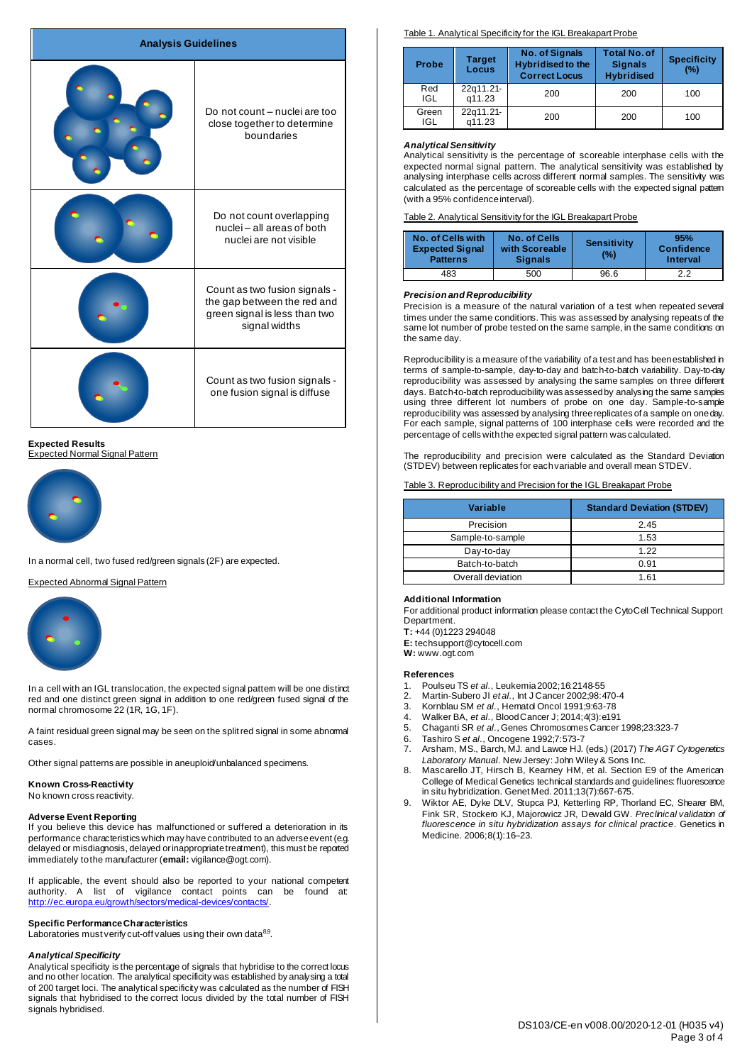| <b>Analysis Guidelines</b> |                                                                                                                |
|----------------------------|----------------------------------------------------------------------------------------------------------------|
|                            | Do not count - nuclei are too<br>close together to determine<br>boundaries                                     |
|                            | Do not count overlapping<br>nuclei-all areas of both<br>nuclei are not visible                                 |
|                            | Count as two fusion signals -<br>the gap between the red and<br>green signal is less than two<br>signal widths |
|                            | Count as two fusion signals -<br>one fusion signal is diffuse                                                  |

#### **Expected Results** Expected Normal Signal Pattern



In a normal cell, two fused red/green signals (2F) are expected.

# Expected Abnormal Signal Pattern



In a cell with an IGL translocation, the expected signal pattern will be one distinct red and one distinct green signal in addition to one red/green fused signal of the normal chromosome 22 (1R, 1G, 1F).

A faint residual green signal may be seen on the split red signal in some abnormal cases.

Other signal patterns are possible in aneuploid/unbalanced specimens.

#### **Known Cross-Reactivity** No known cross reactivity.

# **Adverse Event Reporting**

If you believe this device has malfunctioned or suffered a deterioration in its performance characteristics which may have contributed to an adverse event (e.g. delayed or misdiagnosis, delayed or inappropriate treatment), this must be reported immediately to the manufacturer (**email:** vigilance@ogt.com).

If applicable, the event should also be reported to your national competent authority. A list of vigilance contact points can be found at:<br><http://ec.europa.eu/growth/sectors/medical-devices/contacts/>.

### **Specific Performance Characteristics**

Laboratories must verify cut-off values using their own data $^{8,9}$ .

## *Analytical Specificity*

Analytical specificity is the percentage of signals that hybridise to the correct locus and no other location. The analytical specificity was established by analysing a total of 200 target loci. The analytical specificity was calculated as the number of FISH signals that hybridised to the correct locus divided by the total number of FISH signals hybridised.

# Table 1. Analytical Specificity for the IGL Breakapart Probe

| Probe        | <b>Target</b><br>Locus | <b>No. of Signals</b><br><b>Hybridised to the</b><br><b>Correct Locus</b> | <b>Total No. of</b><br><b>Signals</b><br><b>Hybridised</b> | <b>Specificity</b><br>(%) |
|--------------|------------------------|---------------------------------------------------------------------------|------------------------------------------------------------|---------------------------|
| Red<br>IGL   | 22q11.21-<br>a11.23    | 200                                                                       | 200                                                        | 100                       |
| Green<br>IGL | 22a11.21-<br>a11.23    | 200                                                                       | 200                                                        | 100                       |

### *Analytical Sensitivity*

Analytical sensitivity is the percentage of scoreable interphase cells with the expected normal signal pattern. The analytical sensitivity was established by analysing interphase cells across different normal samples. The sensitivity was calculated as the percentage of scoreable cells with the expected signal pattern (with a 95% confidence interval).

Table 2. Analytical Sensitivity for the IGL Breakapart Probe

| No. of Cells with<br><b>Expected Signal</b><br><b>Patterns</b> | No. of Cells<br>with Scoreable<br><b>Signals</b> | <b>Sensitivity</b><br>(%) | 95%<br>Confidence<br>Interval |
|----------------------------------------------------------------|--------------------------------------------------|---------------------------|-------------------------------|
| 483                                                            | 500                                              | 96.6                      | 2.2                           |

#### *Precision and Reproducibility*

Precision is a measure of the natural variation of a test when repeated several times under the same conditions. This was assessed by analysing repeats of the same lot number of probe tested on the same sample, in the same conditions on the same day.

Reproducibility is a measure of the variability of a test and has been established in terms of sample-to-sample, day-to-day and batch-to-batch variability. Day-to-day reproducibility was assessed by analysing the same samples on three different days. Batch-to-batch reproducibility was assessed by analysing the same samples using three different lot numbers of probe on one day. Sample-to-sample reproducibility was assessed by analysing three replicates of a sample on one day. For each sample, signal patterns of 100 interphase cells were recorded and the percentage of cells with the expected signal pattern was calculated.

The reproducibility and precision were calculated as the Standard Deviation (STDEV) between replicates for each variable and overall mean STDEV.

Table 3. Reproducibility and Precision for the IGL Breakapart Probe

| Variable          | <b>Standard Deviation (STDEV)</b> |
|-------------------|-----------------------------------|
| Precision         | 2.45                              |
| Sample-to-sample  | 1.53                              |
| Day-to-day        | 1.22                              |
| Batch-to-batch    | 0.91                              |
| Overall deviation | 1.61                              |
|                   |                                   |

#### **Additional Information**

For additional product information please contact the CytoCell Technical Support Department.

**T:** +44 (0)1223 294048

**E:** techsupport@cytocell.com

**W:** www.ogt.com

#### **References**

- 1. Poulseu TS *et al.*, Leukemia 2002; 16:2148-55<br>2. Martin-Subero JI et al., Int. J Cancer 2002:98:4
- 2. Martin-Subero JI *et al*., Int J Cancer 2002;98:470-4
- 3. Kornblau SM *et al*., Hematol Oncol 1991;9:63-78
- 4. Walker BA, *et al*., Blood Cancer J; 2014;4(3):e191
- 5. Chaganti SR *et al*., Genes Chromosomes Cancer 1998;23:323-7
- 6. Tashiro S *et al*., Oncogene 1992;7:573-7
- 7. Arsham, MS., Barch, MJ. and Lawce HJ. (eds.) (2017) *The AGT Cytogenetics Laboratory Manual*. New Jersey: John Wiley & Sons Inc.
- 8. Mascarello JT, Hirsch B, Kearney HM, et al. Section E9 of the American College of Medical Genetics technical standards and guidelines: fluorescence in situ hybridization. Genet Med. 2011;13(7):667-675.
- 9. Wiktor AE, Dyke DLV, Stupca PJ, Ketterling RP, Thorland EC, Shearer BM, Fink SR, Stockero KJ, Majorowicz JR, Dewald GW. *Preclinical validation of fluorescence in situ hybridization assays for clinical practice*. Genetics in Medicine. 2006;8(1):16–23.